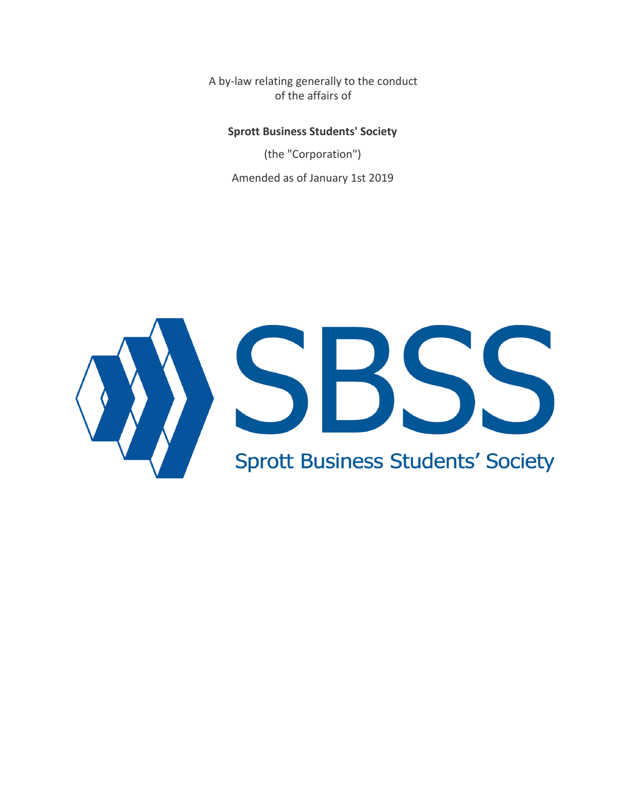A by-law relating generally to the conduct of the affairs of

#### **Sprott Business Students' Society**

(the "Corporation") Amended as of January 1st 2019

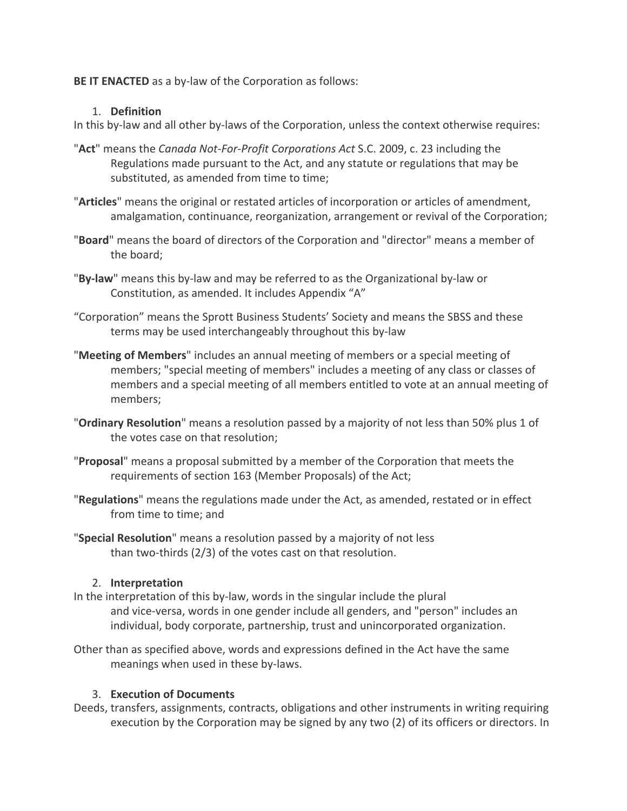## **BE IT ENACTED** as a by-law of the Corporation as follows:

#### 1. **Definition**

In this by-law and all other by-laws of the Corporation, unless the context otherwise requires:

- "**Act**" means the *Canada Not-For-Profit Corporations Act* S.C. 2009, c. 23 including the Regulations made pursuant to the Act, and any statute or regulations that may be substituted, as amended from time to time;
- "**Articles**" means the original or restated articles of incorporation or articles of amendment, amalgamation, continuance, reorganization, arrangement or revival of the Corporation;
- "**Board**" means the board of directors of the Corporation and "director" means a member of the board;
- "**By-law**" means this by-law and may be referred to as the Organizational by-law or Constitution, as amended. It includes Appendix "A"
- "Corporation" means the Sprott Business Students' Society and means the SBSS and these terms may be used interchangeably throughout this by-law
- "**Meeting of Members**" includes an annual meeting of members or a special meeting of members; "special meeting of members" includes a meeting of any class or classes of members and a special meeting of all members entitled to vote at an annual meeting of members;
- "**Ordinary Resolution**" means a resolution passed by a majority of not less than 50% plus 1 of the votes case on that resolution;
- "**Proposal**" means a proposal submitted by a member of the Corporation that meets the requirements of section 163 (Member Proposals) of the Act;
- "**Regulations**" means the regulations made under the Act, as amended, restated or in effect from time to time; and
- "**Special Resolution**" means a resolution passed by a majority of not less than two-thirds (2/3) of the votes cast on that resolution.

# 2. **Interpretation**

- In the interpretation of this by-law, words in the singular include the plural and vice-versa, words in one gender include all genders, and "person" includes an individual, body corporate, partnership, trust and unincorporated organization.
- Other than as specified above, words and expressions defined in the Act have the same meanings when used in these by-laws.

#### 3. **Execution of Documents**

Deeds, transfers, assignments, contracts, obligations and other instruments in writing requiring execution by the Corporation may be signed by any two (2) of its officers or directors. In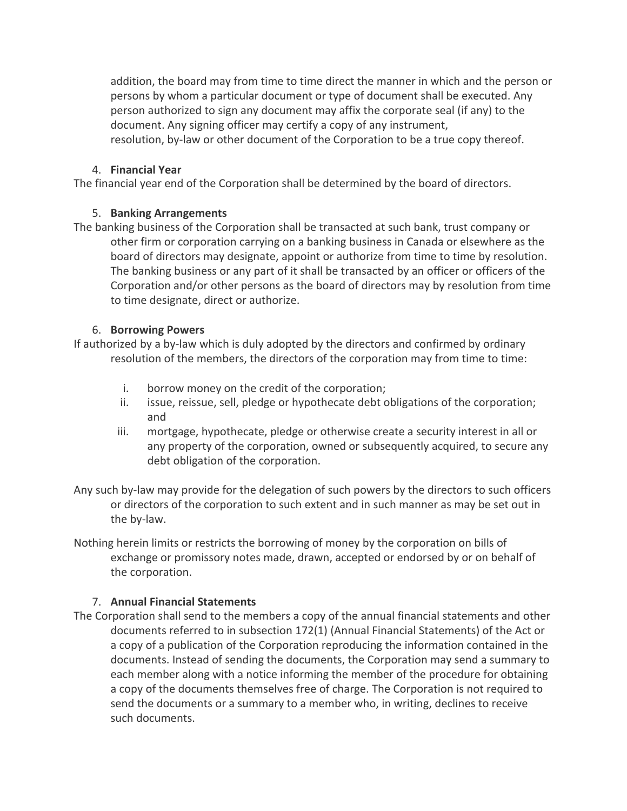addition, the board may from time to time direct the manner in which and the person or persons by whom a particular document or type of document shall be executed. Any person authorized to sign any document may affix the corporate seal (if any) to the document. Any signing officer may certify a copy of any instrument, resolution, by-law or other document of the Corporation to be a true copy thereof.

## 4. **Financial Year**

The financial year end of the Corporation shall be determined by the board of directors.

## 5. **Banking Arrangements**

The banking business of the Corporation shall be transacted at such bank, trust company or other firm or corporation carrying on a banking business in Canada or elsewhere as the board of directors may designate, appoint or authorize from time to time by resolution. The banking business or any part of it shall be transacted by an officer or officers of the Corporation and/or other persons as the board of directors may by resolution from time to time designate, direct or authorize.

## 6. **Borrowing Powers**

If authorized by a by-law which is duly adopted by the directors and confirmed by ordinary resolution of the members, the directors of the corporation may from time to time:

- i. borrow money on the credit of the corporation;
- ii. issue, reissue, sell, pledge or hypothecate debt obligations of the corporation; and
- iii. mortgage, hypothecate, pledge or otherwise create a security interest in all or any property of the corporation, owned or subsequently acquired, to secure any debt obligation of the corporation.
- Any such by-law may provide for the delegation of such powers by the directors to such officers or directors of the corporation to such extent and in such manner as may be set out in the by-law.
- Nothing herein limits or restricts the borrowing of money by the corporation on bills of exchange or promissory notes made, drawn, accepted or endorsed by or on behalf of the corporation.

# 7. **Annual Financial Statements**

The Corporation shall send to the members a copy of the annual financial statements and other documents referred to in subsection 172(1) (Annual Financial Statements) of the Act or a copy of a publication of the Corporation reproducing the information contained in the documents. Instead of sending the documents, the Corporation may send a summary to each member along with a notice informing the member of the procedure for obtaining a copy of the documents themselves free of charge. The Corporation is not required to send the documents or a summary to a member who, in writing, declines to receive such documents.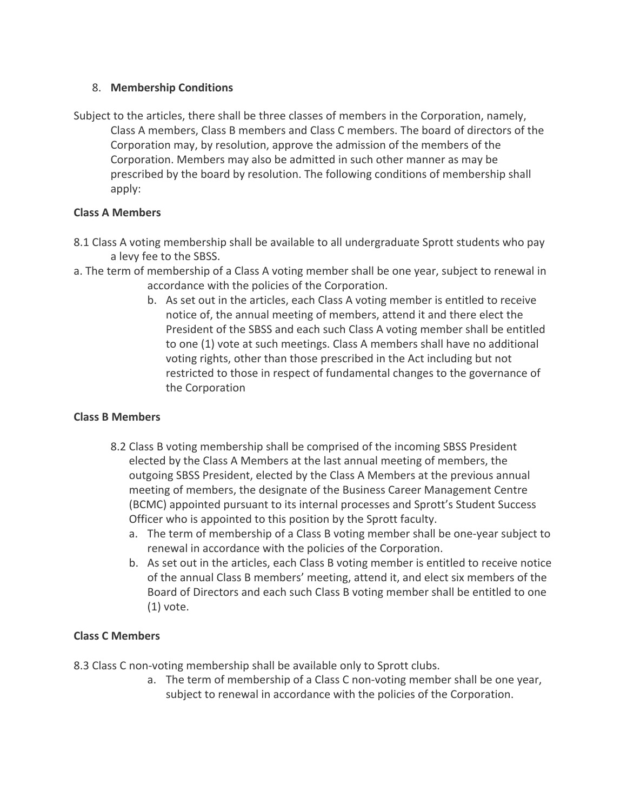# 8. **Membership Conditions**

Subject to the articles, there shall be three classes of members in the Corporation, namely, Class A members, Class B members and Class C members. The board of directors of the Corporation may, by resolution, approve the admission of the members of the Corporation. Members may also be admitted in such other manner as may be prescribed by the board by resolution. The following conditions of membership shall apply:

## **Class A Members**

- 8.1 Class A voting membership shall be available to all undergraduate Sprott students who pay a levy fee to the SBSS.
- a. The term of membership of a Class A voting member shall be one year, subject to renewal in accordance with the policies of the Corporation.
	- b. As set out in the articles, each Class A voting member is entitled to receive notice of, the annual meeting of members, attend it and there elect the President of the SBSS and each such Class A voting member shall be entitled to one (1) vote at such meetings. Class A members shall have no additional voting rights, other than those prescribed in the Act including but not restricted to those in respect of fundamental changes to the governance of the Corporation

# **Class B Members**

- 8.2 Class B voting membership shall be comprised of the incoming SBSS President elected by the Class A Members at the last annual meeting of members, the outgoing SBSS President, elected by the Class A Members at the previous annual meeting of members, the designate of the Business Career Management Centre (BCMC) appointed pursuant to its internal processes and Sprott's Student Success Officer who is appointed to this position by the Sprott faculty.
	- a. The term of membership of a Class B voting member shall be one-year subject to renewal in accordance with the policies of the Corporation.
	- b. As set out in the articles, each Class B voting member is entitled to receive notice of the annual Class B members' meeting, attend it, and elect six members of the Board of Directors and each such Class B voting member shall be entitled to one (1) vote.

# **Class C Members**

8.3 Class C non-voting membership shall be available only to Sprott clubs.

a. The term of membership of a Class C non-voting member shall be one year, subject to renewal in accordance with the policies of the Corporation.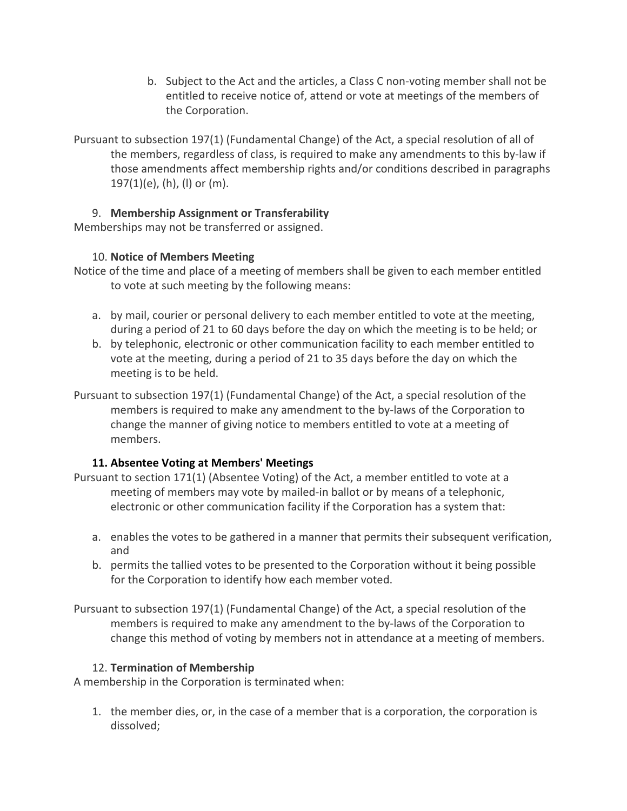- b. Subject to the Act and the articles, a Class C non-voting member shall not be entitled to receive notice of, attend or vote at meetings of the members of the Corporation.
- Pursuant to subsection 197(1) (Fundamental Change) of the Act, a special resolution of all of the members, regardless of class, is required to make any amendments to this by-law if those amendments affect membership rights and/or conditions described in paragraphs 197(1)(e), (h), (l) or (m).

# 9. **Membership Assignment or Transferability**

Memberships may not be transferred or assigned.

# 10. **Notice of Members Meeting**

- Notice of the time and place of a meeting of members shall be given to each member entitled to vote at such meeting by the following means:
	- a. by mail, courier or personal delivery to each member entitled to vote at the meeting, during a period of 21 to 60 days before the day on which the meeting is to be held; or
	- b. by telephonic, electronic or other communication facility to each member entitled to vote at the meeting, during a period of 21 to 35 days before the day on which the meeting is to be held.
- Pursuant to subsection 197(1) (Fundamental Change) of the Act, a special resolution of the members is required to make any amendment to the by-laws of the Corporation to change the manner of giving notice to members entitled to vote at a meeting of members.

# **11. Absentee Voting at Members' Meetings**

- Pursuant to section 171(1) (Absentee Voting) of the Act, a member entitled to vote at a meeting of members may vote by mailed-in ballot or by means of a telephonic, electronic or other communication facility if the Corporation has a system that:
	- a. enables the votes to be gathered in a manner that permits their subsequent verification, and
	- b. permits the tallied votes to be presented to the Corporation without it being possible for the Corporation to identify how each member voted.
- Pursuant to subsection 197(1) (Fundamental Change) of the Act, a special resolution of the members is required to make any amendment to the by-laws of the Corporation to change this method of voting by members not in attendance at a meeting of members.

# 12. **Termination of Membership**

A membership in the Corporation is terminated when:

1. the member dies, or, in the case of a member that is a corporation, the corporation is dissolved;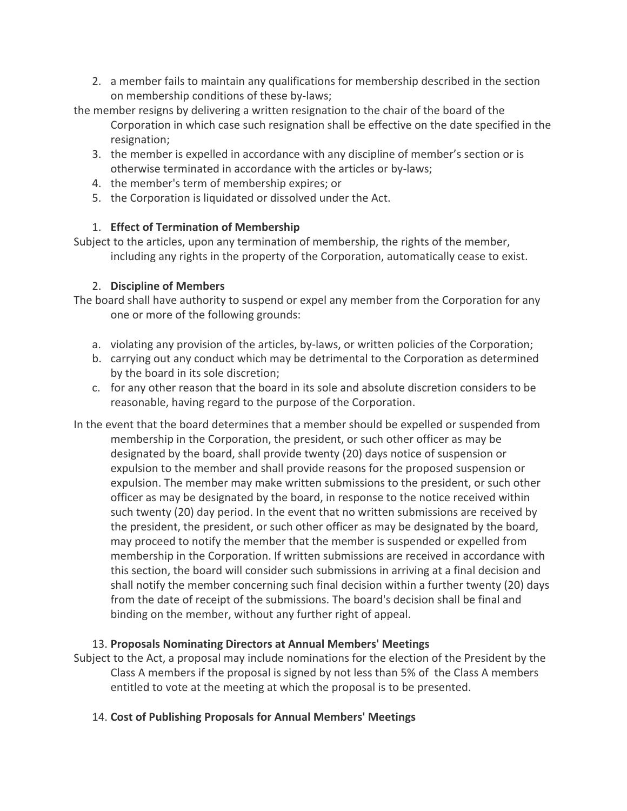2. a member fails to maintain any qualifications for membership described in the section on membership conditions of these by-laws;

the member resigns by delivering a written resignation to the chair of the board of the Corporation in which case such resignation shall be effective on the date specified in the resignation;

- 3. the member is expelled in accordance with any discipline of member's section or is otherwise terminated in accordance with the articles or by-laws;
- 4. the member's term of membership expires; or
- 5. the Corporation is liquidated or dissolved under the Act.

# 1. **Effect of Termination of Membership**

Subject to the articles, upon any termination of membership, the rights of the member, including any rights in the property of the Corporation, automatically cease to exist.

# 2. **Discipline of Members**

- The board shall have authority to suspend or expel any member from the Corporation for any one or more of the following grounds:
	- a. violating any provision of the articles, by-laws, or written policies of the Corporation;
	- b. carrying out any conduct which may be detrimental to the Corporation as determined by the board in its sole discretion;
	- c. for any other reason that the board in its sole and absolute discretion considers to be reasonable, having regard to the purpose of the Corporation.
- In the event that the board determines that a member should be expelled or suspended from membership in the Corporation, the president, or such other officer as may be designated by the board, shall provide twenty (20) days notice of suspension or expulsion to the member and shall provide reasons for the proposed suspension or expulsion. The member may make written submissions to the president, or such other officer as may be designated by the board, in response to the notice received within such twenty (20) day period. In the event that no written submissions are received by the president, the president, or such other officer as may be designated by the board, may proceed to notify the member that the member is suspended or expelled from membership in the Corporation. If written submissions are received in accordance with this section, the board will consider such submissions in arriving at a final decision and shall notify the member concerning such final decision within a further twenty (20) days from the date of receipt of the submissions. The board's decision shall be final and binding on the member, without any further right of appeal.

# 13. **Proposals Nominating Directors at Annual Members' Meetings**

- Subject to the Act, a proposal may include nominations for the election of the President by the Class A members if the proposal is signed by not less than 5% of the Class A members entitled to vote at the meeting at which the proposal is to be presented.
	- 14. **Cost of Publishing Proposals for Annual Members' Meetings**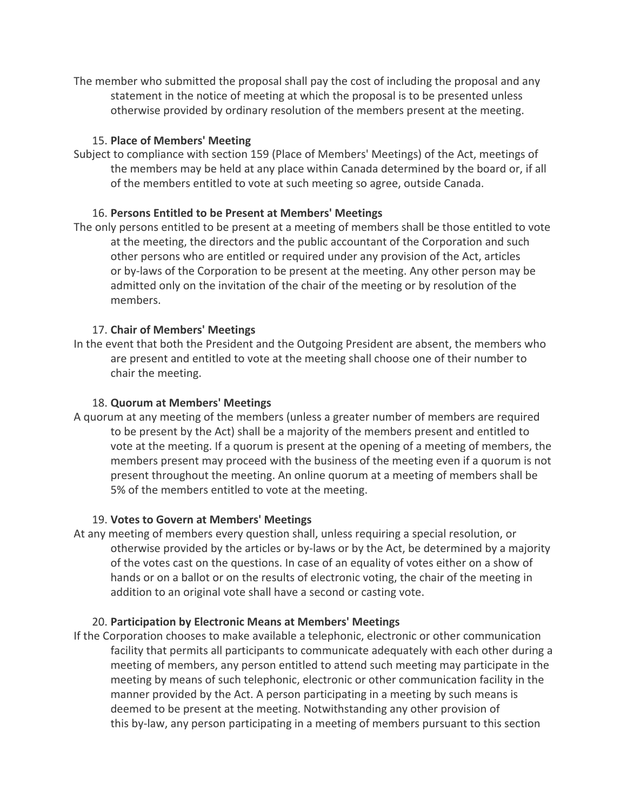The member who submitted the proposal shall pay the cost of including the proposal and any statement in the notice of meeting at which the proposal is to be presented unless otherwise provided by ordinary resolution of the members present at the meeting.

## 15. **Place of Members' Meeting**

Subject to compliance with section 159 (Place of Members' Meetings) of the Act, meetings of the members may be held at any place within Canada determined by the board or, if all of the members entitled to vote at such meeting so agree, outside Canada.

## 16. **Persons Entitled to be Present at Members' Meetings**

The only persons entitled to be present at a meeting of members shall be those entitled to vote at the meeting, the directors and the public accountant of the Corporation and such other persons who are entitled or required under any provision of the Act, articles or by-laws of the Corporation to be present at the meeting. Any other person may be admitted only on the invitation of the chair of the meeting or by resolution of the members.

## 17. **Chair of Members' Meetings**

In the event that both the President and the Outgoing President are absent, the members who are present and entitled to vote at the meeting shall choose one of their number to chair the meeting.

#### 18. **Quorum at Members' Meetings**

A quorum at any meeting of the members (unless a greater number of members are required to be present by the Act) shall be a majority of the members present and entitled to vote at the meeting. If a quorum is present at the opening of a meeting of members, the members present may proceed with the business of the meeting even if a quorum is not present throughout the meeting. An online quorum at a meeting of members shall be 5% of the members entitled to vote at the meeting.

#### 19. **Votes to Govern at Members' Meetings**

At any meeting of members every question shall, unless requiring a special resolution, or otherwise provided by the articles or by-laws or by the Act, be determined by a majority of the votes cast on the questions. In case of an equality of votes either on a show of hands or on a ballot or on the results of electronic voting, the chair of the meeting in addition to an original vote shall have a second or casting vote.

#### 20. **Participation by Electronic Means at Members' Meetings**

If the Corporation chooses to make available a telephonic, electronic or other communication facility that permits all participants to communicate adequately with each other during a meeting of members, any person entitled to attend such meeting may participate in the meeting by means of such telephonic, electronic or other communication facility in the manner provided by the Act. A person participating in a meeting by such means is deemed to be present at the meeting. Notwithstanding any other provision of this by-law, any person participating in a meeting of members pursuant to this section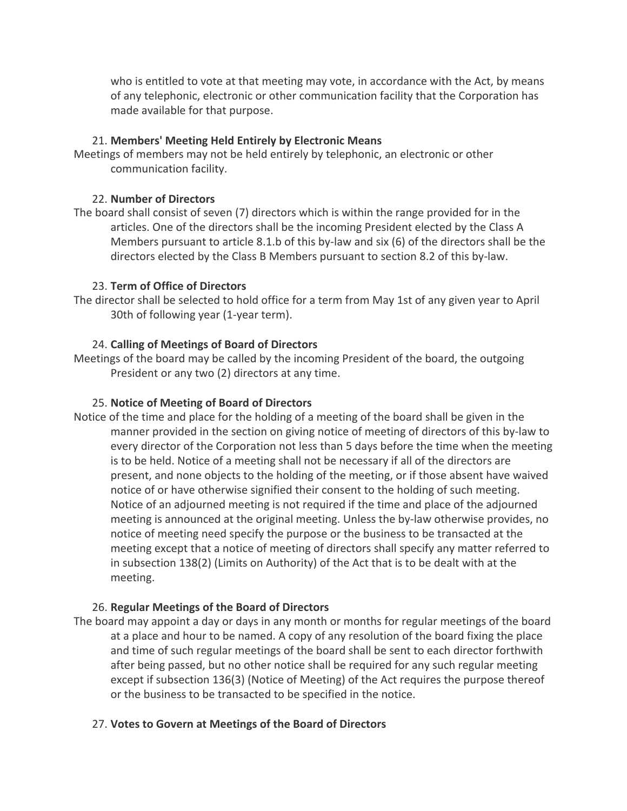who is entitled to vote at that meeting may vote, in accordance with the Act, by means of any telephonic, electronic or other communication facility that the Corporation has made available for that purpose.

#### 21. **Members' Meeting Held Entirely by Electronic Means**

Meetings of members may not be held entirely by telephonic, an electronic or other communication facility.

#### 22. **Number of Directors**

The board shall consist of seven (7) directors which is within the range provided for in the articles. One of the directors shall be the incoming President elected by the Class A Members pursuant to article 8.1.b of this by-law and six (6) of the directors shall be the directors elected by the Class B Members pursuant to section 8.2 of this by-law.

## 23. **Term of Office of Directors**

The director shall be selected to hold office for a term from May 1st of any given year to April 30th of following year (1-year term).

## 24. **Calling of Meetings of Board of Directors**

Meetings of the board may be called by the incoming President of the board, the outgoing President or any two (2) directors at any time.

## 25. **Notice of Meeting of Board of Directors**

Notice of the time and place for the holding of a meeting of the board shall be given in the manner provided in the section on giving notice of meeting of directors of this by-law to every director of the Corporation not less than 5 days before the time when the meeting is to be held. Notice of a meeting shall not be necessary if all of the directors are present, and none objects to the holding of the meeting, or if those absent have waived notice of or have otherwise signified their consent to the holding of such meeting. Notice of an adjourned meeting is not required if the time and place of the adjourned meeting is announced at the original meeting. Unless the by-law otherwise provides, no notice of meeting need specify the purpose or the business to be transacted at the meeting except that a notice of meeting of directors shall specify any matter referred to in subsection 138(2) (Limits on Authority) of the Act that is to be dealt with at the meeting.

#### 26. **Regular Meetings of the Board of Directors**

The board may appoint a day or days in any month or months for regular meetings of the board at a place and hour to be named. A copy of any resolution of the board fixing the place and time of such regular meetings of the board shall be sent to each director forthwith after being passed, but no other notice shall be required for any such regular meeting except if subsection 136(3) (Notice of Meeting) of the Act requires the purpose thereof or the business to be transacted to be specified in the notice.

#### 27. **Votes to Govern at Meetings of the Board of Directors**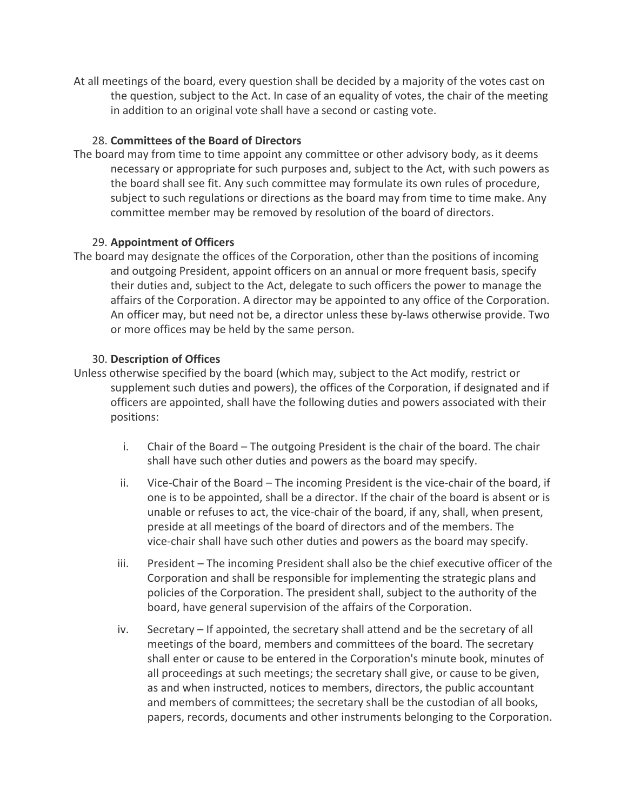At all meetings of the board, every question shall be decided by a majority of the votes cast on the question, subject to the Act. In case of an equality of votes, the chair of the meeting in addition to an original vote shall have a second or casting vote.

#### 28. **Committees of the Board of Directors**

The board may from time to time appoint any committee or other advisory body, as it deems necessary or appropriate for such purposes and, subject to the Act, with such powers as the board shall see fit. Any such committee may formulate its own rules of procedure, subject to such regulations or directions as the board may from time to time make. Any committee member may be removed by resolution of the board of directors.

## 29. **Appointment of Officers**

The board may designate the offices of the Corporation, other than the positions of incoming and outgoing President, appoint officers on an annual or more frequent basis, specify their duties and, subject to the Act, delegate to such officers the power to manage the affairs of the Corporation. A director may be appointed to any office of the Corporation. An officer may, but need not be, a director unless these by-laws otherwise provide. Two or more offices may be held by the same person.

#### 30. **Description of Offices**

- Unless otherwise specified by the board (which may, subject to the Act modify, restrict or supplement such duties and powers), the offices of the Corporation, if designated and if officers are appointed, shall have the following duties and powers associated with their positions:
	- i. Chair of the Board The outgoing President is the chair of the board. The chair shall have such other duties and powers as the board may specify.
	- ii. Vice-Chair of the Board The incoming President is the vice-chair of the board, if one is to be appointed, shall be a director. If the chair of the board is absent or is unable or refuses to act, the vice-chair of the board, if any, shall, when present, preside at all meetings of the board of directors and of the members. The vice-chair shall have such other duties and powers as the board may specify.
	- iii. President The incoming President shall also be the chief executive officer of the Corporation and shall be responsible for implementing the strategic plans and policies of the Corporation. The president shall, subject to the authority of the board, have general supervision of the affairs of the Corporation.
	- iv. Secretary If appointed, the secretary shall attend and be the secretary of all meetings of the board, members and committees of the board. The secretary shall enter or cause to be entered in the Corporation's minute book, minutes of all proceedings at such meetings; the secretary shall give, or cause to be given, as and when instructed, notices to members, directors, the public accountant and members of committees; the secretary shall be the custodian of all books, papers, records, documents and other instruments belonging to the Corporation.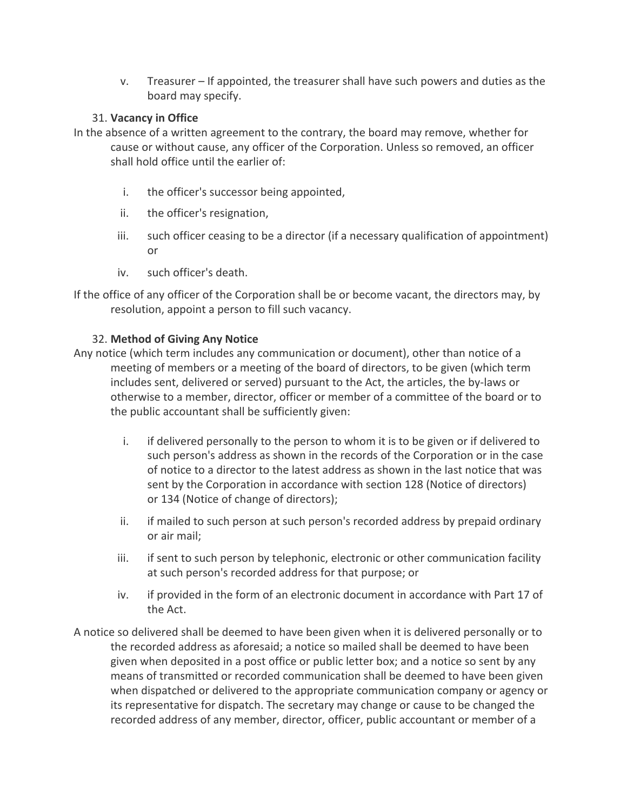v. Treasurer – If appointed, the treasurer shall have such powers and duties as the board may specify.

# 31. **Vacancy in Office**

- In the absence of a written agreement to the contrary, the board may remove, whether for cause or without cause, any officer of the Corporation. Unless so removed, an officer shall hold office until the earlier of:
	- i. the officer's successor being appointed,
	- ii. the officer's resignation,
	- iii. such officer ceasing to be a director (if a necessary qualification of appointment) or
	- iv. such officer's death.

If the office of any officer of the Corporation shall be or become vacant, the directors may, by resolution, appoint a person to fill such vacancy.

#### 32. **Method of Giving Any Notice**

- Any notice (which term includes any communication or document), other than notice of a meeting of members or a meeting of the board of directors, to be given (which term includes sent, delivered or served) pursuant to the Act, the articles, the by-laws or otherwise to a member, director, officer or member of a committee of the board or to the public accountant shall be sufficiently given:
	- i. if delivered personally to the person to whom it is to be given or if delivered to such person's address as shown in the records of the Corporation or in the case of notice to a director to the latest address as shown in the last notice that was sent by the Corporation in accordance with section 128 (Notice of directors) or 134 (Notice of change of directors);
	- ii. if mailed to such person at such person's recorded address by prepaid ordinary or air mail;
	- iii. if sent to such person by telephonic, electronic or other communication facility at such person's recorded address for that purpose; or
	- iv. if provided in the form of an electronic document in accordance with Part 17 of the Act.
- A notice so delivered shall be deemed to have been given when it is delivered personally or to the recorded address as aforesaid; a notice so mailed shall be deemed to have been given when deposited in a post office or public letter box; and a notice so sent by any means of transmitted or recorded communication shall be deemed to have been given when dispatched or delivered to the appropriate communication company or agency or its representative for dispatch. The secretary may change or cause to be changed the recorded address of any member, director, officer, public accountant or member of a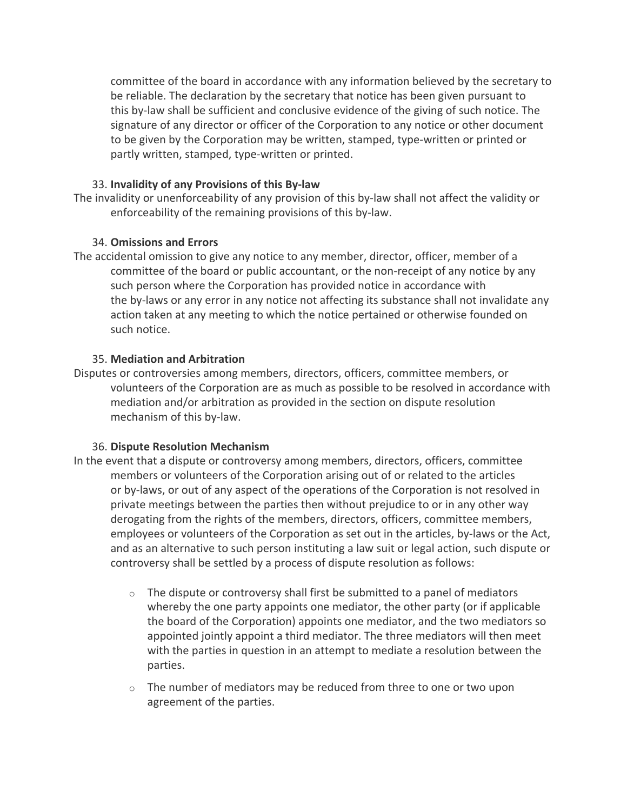committee of the board in accordance with any information believed by the secretary to be reliable. The declaration by the secretary that notice has been given pursuant to this by-law shall be sufficient and conclusive evidence of the giving of such notice. The signature of any director or officer of the Corporation to any notice or other document to be given by the Corporation may be written, stamped, type-written or printed or partly written, stamped, type-written or printed.

#### 33. **Invalidity of any Provisions of this By-law**

The invalidity or unenforceability of any provision of this by-law shall not affect the validity or enforceability of the remaining provisions of this by-law.

## 34. **Omissions and Errors**

The accidental omission to give any notice to any member, director, officer, member of a committee of the board or public accountant, or the non-receipt of any notice by any such person where the Corporation has provided notice in accordance with the by-laws or any error in any notice not affecting its substance shall not invalidate any action taken at any meeting to which the notice pertained or otherwise founded on such notice.

#### 35. **Mediation and Arbitration**

Disputes or controversies among members, directors, officers, committee members, or volunteers of the Corporation are as much as possible to be resolved in accordance with mediation and/or arbitration as provided in the section on dispute resolution mechanism of this by-law.

# 36. **Dispute Resolution Mechanism**

- In the event that a dispute or controversy among members, directors, officers, committee members or volunteers of the Corporation arising out of or related to the articles or by-laws, or out of any aspect of the operations of the Corporation is not resolved in private meetings between the parties then without prejudice to or in any other way derogating from the rights of the members, directors, officers, committee members, employees or volunteers of the Corporation as set out in the articles, by-laws or the Act, and as an alternative to such person instituting a law suit or legal action, such dispute or controversy shall be settled by a process of dispute resolution as follows:
	- $\circ$  The dispute or controversy shall first be submitted to a panel of mediators whereby the one party appoints one mediator, the other party (or if applicable the board of the Corporation) appoints one mediator, and the two mediators so appointed jointly appoint a third mediator. The three mediators will then meet with the parties in question in an attempt to mediate a resolution between the parties.
	- o The number of mediators may be reduced from three to one or two upon agreement of the parties.